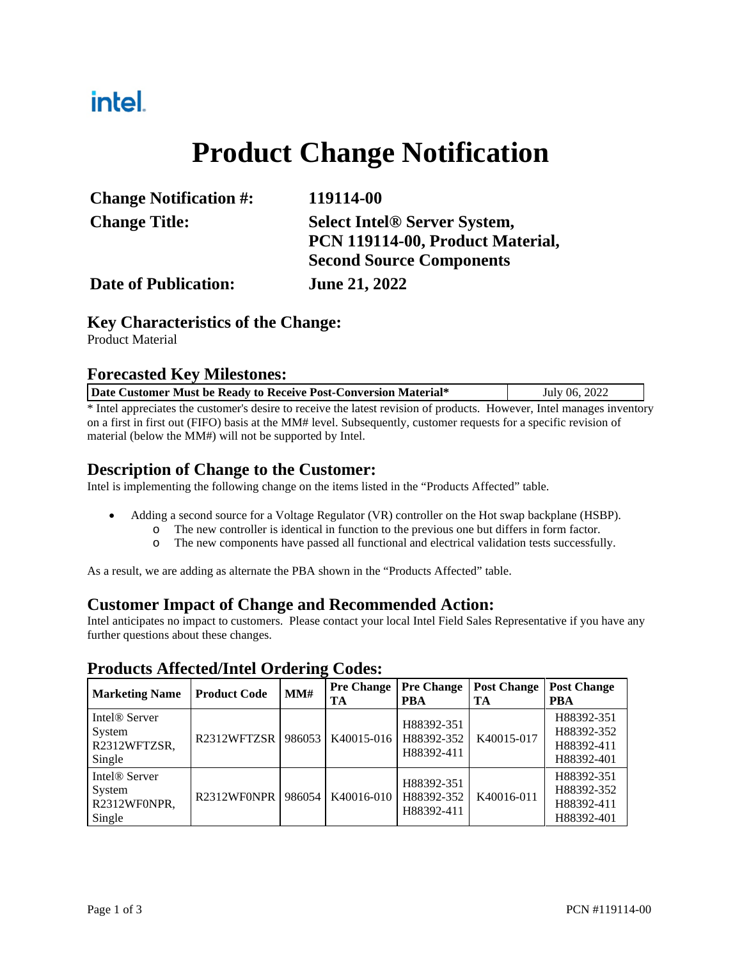### intel.

## **Product Change Notification**

| <b>Change Notification #:</b> | 119114-00                           |  |  |
|-------------------------------|-------------------------------------|--|--|
| <b>Change Title:</b>          | <b>Select Intel® Server System,</b> |  |  |
|                               | PCN 119114-00, Product Material,    |  |  |
|                               | <b>Second Source Components</b>     |  |  |
| <b>Date of Publication:</b>   | <b>June 21, 2022</b>                |  |  |

#### **Key Characteristics of the Change:**

Product Material

#### **Forecasted Key Milestones:**

| Date Customer Must be Ready to Receive Post-Conversion Material* | July 06, 2022 |
|------------------------------------------------------------------|---------------|
|------------------------------------------------------------------|---------------|

\* Intel appreciates the customer's desire to receive the latest revision of products. However, Intel manages inventory on a first in first out (FIFO) basis at the MM# level. Subsequently, customer requests for a specific revision of material (below the MM#) will not be supported by Intel.

### **Description of Change to the Customer:**

Intel is implementing the following change on the items listed in the "Products Affected" table.

- Adding a second source for a Voltage Regulator (VR) controller on the Hot swap backplane (HSBP).
	- o The new controller is identical in function to the previous one but differs in form factor.
	- o The new components have passed all functional and electrical validation tests successfully.

As a result, we are adding as alternate the PBA shown in the "Products Affected" table.

#### **Customer Impact of Change and Recommended Action:**

Intel anticipates no impact to customers. Please contact your local Intel Field Sales Representative if you have any further questions about these changes.

| <b>Marketing Name</b>                                         | <b>Product Code</b>                  | -<br>MM# | <b>Pre Change</b><br>TA | <b>Pre Change</b><br><b>PBA</b>        | <b>Post Change</b><br>TA | <b>Post Change</b><br><b>PBA</b>                     |
|---------------------------------------------------------------|--------------------------------------|----------|-------------------------|----------------------------------------|--------------------------|------------------------------------------------------|
| Intel <sup>®</sup> Server<br>System<br>R2312WFTZSR,<br>Single | R <sub>2312</sub> WFT <sub>ZSR</sub> | 986053   | K40015-016              | H88392-351<br>H88392-352<br>H88392-411 | K40015-017               | H88392-351<br>H88392-352<br>H88392-411<br>H88392-401 |
| Intel <sup>®</sup> Server<br>System<br>R2312WF0NPR,<br>Single | R2312WF0NPR                          | 986054   | K40016-010              | H88392-351<br>H88392-352<br>H88392-411 | K40016-011               | H88392-351<br>H88392-352<br>H88392-411<br>H88392-401 |

#### **Products Affected/Intel Ordering Codes:**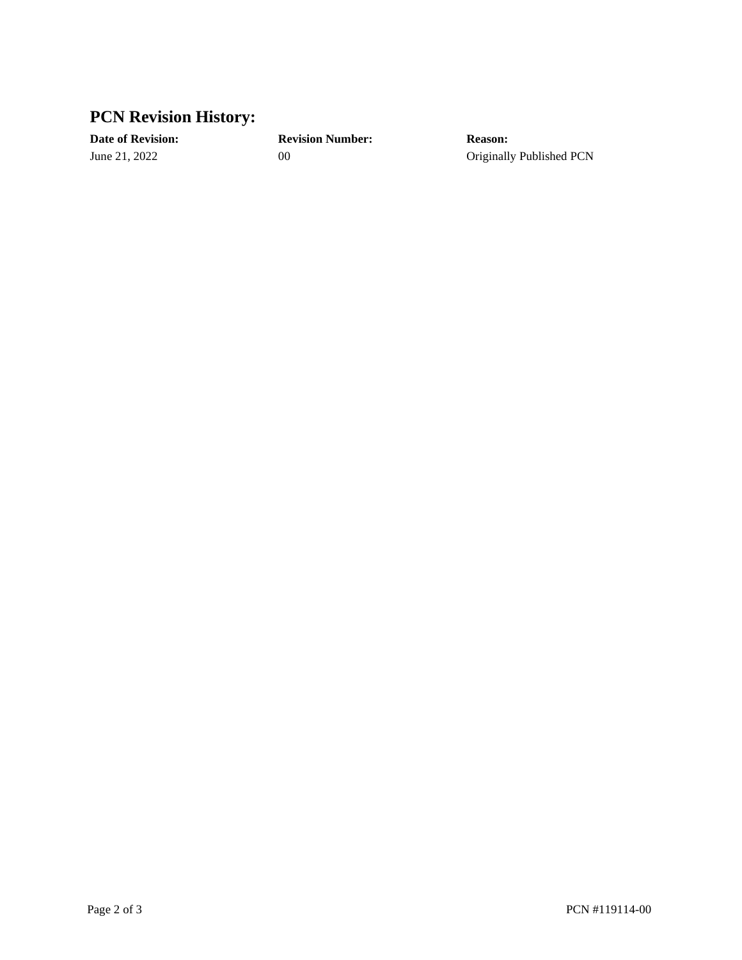### **PCN Revision History:**

**Date of Revision: Revision Number: Reason:**

June 21, 2022 00 00 Originally Published PCN